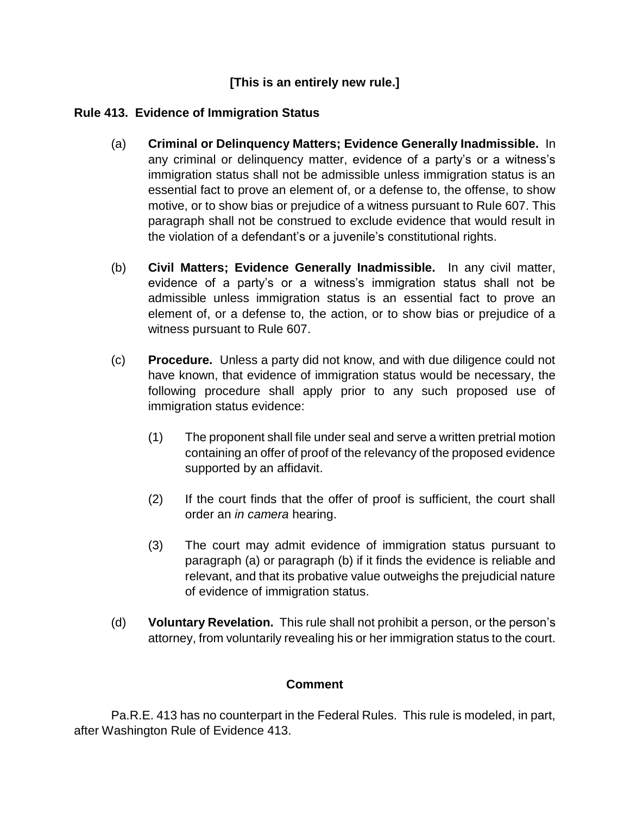## **[This is an entirely new rule.]**

## **Rule 413. Evidence of Immigration Status**

- (a) **Criminal or Delinquency Matters; Evidence Generally Inadmissible.** In any criminal or delinquency matter, evidence of a party's or a witness's immigration status shall not be admissible unless immigration status is an essential fact to prove an element of, or a defense to, the offense, to show motive, or to show bias or prejudice of a witness pursuant to Rule 607. This paragraph shall not be construed to exclude evidence that would result in the violation of a defendant's or a juvenile's constitutional rights.
- (b) **Civil Matters; Evidence Generally Inadmissible.** In any civil matter, evidence of a party's or a witness's immigration status shall not be admissible unless immigration status is an essential fact to prove an element of, or a defense to, the action, or to show bias or prejudice of a witness pursuant to Rule 607.
- (c) **Procedure.** Unless a party did not know, and with due diligence could not have known, that evidence of immigration status would be necessary, the following procedure shall apply prior to any such proposed use of immigration status evidence:
	- (1) The proponent shall file under seal and serve a written pretrial motion containing an offer of proof of the relevancy of the proposed evidence supported by an affidavit.
	- (2) If the court finds that the offer of proof is sufficient, the court shall order an *in camera* hearing.
	- (3) The court may admit evidence of immigration status pursuant to paragraph (a) or paragraph (b) if it finds the evidence is reliable and relevant, and that its probative value outweighs the prejudicial nature of evidence of immigration status.
- (d) **Voluntary Revelation.** This rule shall not prohibit a person, or the person's attorney, from voluntarily revealing his or her immigration status to the court.

## **Comment**

Pa.R.E. 413 has no counterpart in the Federal Rules. This rule is modeled, in part, after Washington Rule of Evidence 413.